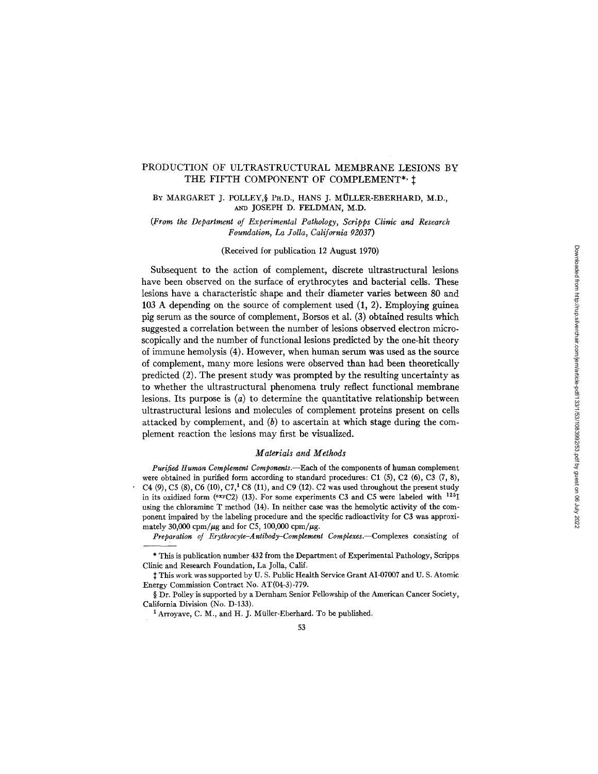## PRODUCTION OF ULTRASTRUCTURAL MEMBRANE LESIONS BY THE FIFTH COMPONENT OF COMPLEMENT\*,  $\ddagger$

BY MARGARET J. POLLEY, § PH.D., HANS J. MÜLLER-EBERHARD, M.D., AND JOSEPH D. FELDMAN, M.D.

*(From the Department of Experimental Pathology, Scripps Clinic and Research Foundation, La Jolla, California 92037)* 

(Received for publication 12 August 1970)

Subsequent to the action of complement, discrete ultrastructural lesions have been observed on the surface of erythrocytes and bacterial cells. These lesions have a characteristic shape and their diameter varies between 80 and 103 A depending on the source of complement used (1, 2). Employing guinea pig serum as the source of complement, Borsos et al. (3) obtained results which suggested a correlation between the number of lesions observed electron microscopically and the number of functional lesions predicted by the one-hit theory of immune hemolysis (4). However, when human serum was used as the source of complement, many more lesions were observed than had been theoretically predicted (2). The present study was prompted by the resulting uncertainty as to whether the ultrastructural phenomena truly reflect functional membrane lesions. Its purpose is  $(a)$  to determine the quantitative relationship between ultrastructural lesions and molecules of complement proteins present on cells attacked by complement, and  $(b)$  to ascertain at which stage during the complement reaction the lesions may first be visualized.

### *Materials and Methods*

*Purified Human Complement Components.--Each* of the components of human complement were obtained in purified form according to standard procedures: C1  $(5)$ , C2  $(6)$ , C3  $(7, 8)$ , C4  $(9)$ , C5  $(8)$ , C6  $(10)$ , C7,<sup>1</sup> C8  $(11)$ , and C9  $(12)$ . C2 was used throughout the present study in its oxidized form ( $O^{xy}C2$ ) (13). For some experiments C3 and C5 were labeled with  $125$ <sub>I</sub> using the chloramine T method (14). In neither case was the hemolytic activity of the component impaired by the labeling procedure and the specific radioactivity for C3 was approximately 30,000 cpm/ $\mu$ g and for C5, 100,000 cpm/ $\mu$ g.

*Preparation of Erythrocyte-Antibody-Complement Complexes.---Complexes* consisting of

<sup>\*</sup> This is publication number 432 from the Department of Experimental Pathology, Scripps Clinic and Research Foundation, La Jolla, Calif.

 $\ddagger$  This work was supported by U. S. Public Health Service Grant AI-07007 and U. S. Atomic Energy Commission Contract No. AT(04-3)-779.

<sup>§</sup> Dr. Polley is supported by a Dernham Senior Fellowship of the American Cancer Society, California Division (No. D-133).

<sup>&</sup>lt;sup>1</sup> Arroyave, C. M., and H. J. Müller-Eberhard. To be published.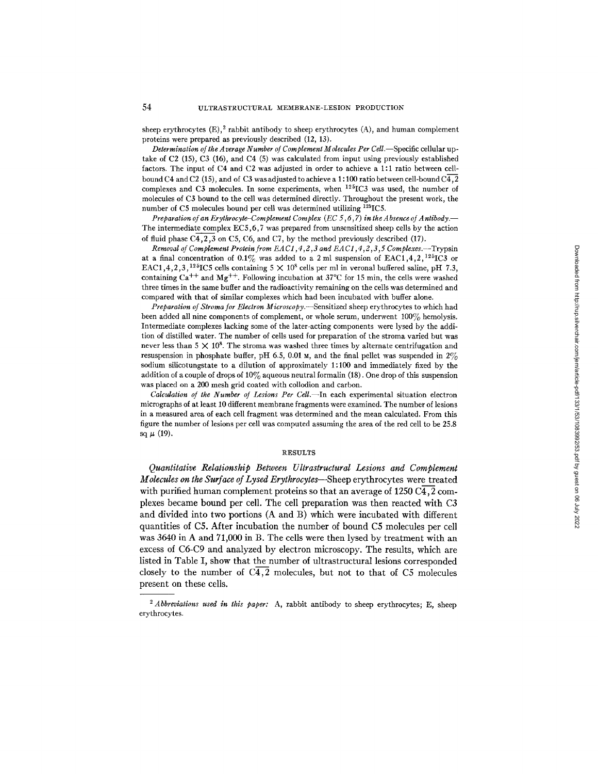sheep erythrocytes  $(E)$ ,  $^2$  rabbit antibody to sheep erythrocytes  $(A)$ , and human complement proteins were prepared as previously described (12, 13).

*Determination of the Average Number of Complement Molecules Per CelL--Specific* cellular uptake of C2 (15), C3 (16), and C4 (5) was calculated from input using previously established factors. The input of C4 and C2 was adjusted in order to achieve a 1:1 ratio between cellbound C4 and C2 (15), and of C3 was adjusted to achieve a 1:100 ratio between cell-bound  $\overline{C4,2}$ complexes and C3 molecules. In some experiments, when  $125$ IC3 was used, the number of molecules of C3 bound to the cell was determined directly. Throughout the present work, the number of C5 molecules bound per cell was determined utilizing <sup>125</sup>IC5.

*Preparation of an Erythrocyte-Complement Complex (EC 5,6,7) in the Absence of Antibody.* The intermediate complex  $EC5,6,7$  was prepared from unsensitized sheep cells by the action of fluid phase  $\overline{C4,2,3}$  on C5, C6, and C7, by the method previously described (17).

*Removal of Complement Protein from EA C1, 4 ,2 ,3 and EA C1, 4 ,2 ,3 ,5 Complexes.--Trypsin*  at a final concentration of 0.1% was added to a 2 ml suspension of EAC1,4,2,<sup>125</sup>IC3 or EAC1,4,2,3,<sup>125</sup>IC5 cells containing 5  $\times$  10<sup>8</sup> cells per ml in veronal buffered saline, pH 7.3, containing  $Ca^{++}$  and  $Mg^{++}$ . Following incubation at 37°C for 15 min, the cells were washed three times in the same buffer and the radioactivity remaining on the cells was determined and compared with that of similar complexes which had been incubated with buffer alone.

*Preparation of Stroma for Electron Microscopy.--Sensitized* sheep erythrocytes to which had been added all nine components of complement, or whole serum, underwent 100% hemolysis. Intermediate complexes lacking some of the later-acting components were lysed by the addition of distilled water. The number of cells used for preparation of the stroma varied but was never less than  $5 \times 10^8$ . The stroma was washed three times by alternate centrifugation and resuspension in phosphate buffer, pH 6.5, 0.01  $\mu$ , and the final pellet was suspended in 2% sodium silicotungstate to a dilution of approximately 1:100 and immediately fixed by the addition of a couple of drops of  $10\%$  aqueous neutral formalin (18). One drop of this suspension was placed on a 200 mesh grid coated with collodion and carbon.

*Calculation of the Number of Lesions Per Cell.--In* each experimental situation electron micrographs of at least 10 different membrane fragments were examined. The number of lesions in a measured area of each cell fragment was determined and the mean calculated. From this figure the number of lesions per cell was computed assuming the area of the red cell to be 25.8 sq  $\mu$  (19).

### RESULTS

*Quantitative Relationship Between Ultrastructural Lesions and Complement Molecules on the Surface of Lysed Erythrocytes--Sheep* erythrocytes were treated with purified human complement proteins so that an average of  $1250 \text{ C}4, 2 \text{ com}$ plexes became bound per cell. The cell preparation was then reacted with C3 and divided into two portions (A and B) which were incubated with different quantities of C5. After incubation the number of bound C5 molecules per cell was 3640 in A and 71,000 in B. The cells were then lysed by treatment with an excess of C6-C9 and analyzed by electron microscopy. The results, which are listed in Table I, show that the number of ultrastructural lesions corresponded closely to the number of  $C\overline{4,2}$  molecules, but not to that of C5 molecules present on these cells.

*<sup>2</sup> Abbreviations used in this paper:* A, rabbit antibody to sheep erythrocytes; E, sheep erythrocytes.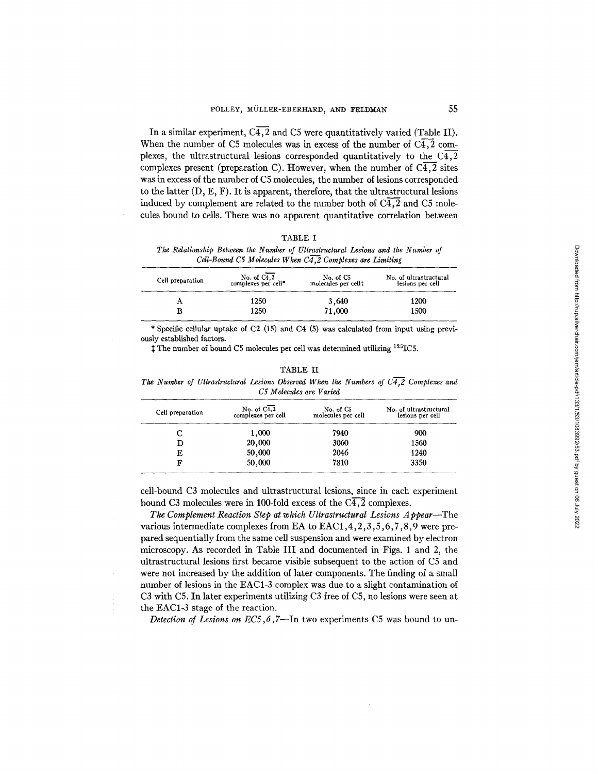In a similar experiment,  $C\overline{4,2}$  and C5 were quantitatively varied (Table II). When the number of C5 molecules was in excess of the number of  $\overline{C4,2}$  complexes, the ultrastructural lesions corresponded quantitatively to the  $\overline{C4,2}$ complexes present (preparation C). However, when the number of  $C<sub>4</sub>,<sub>2</sub>$  sites was in excess of the number of C5 molecules, the number of lesions corresponded to the latter  $(D, E, F)$ . It is apparent, therefore, that the ultrastructural lesions induced by complement are related to the number both of  $C\overline{4,2}$  and  $C\overline{5}$  molecules bound to cells. There was no apparent quantitative correlation between

| `ABLE |  |
|-------|--|
|-------|--|

*The Rdationship Between the Number of Ultrastructural Lesions and the Number of Cdl-Bound C5 Molecules When C4,2 Complexes are Limiting* 

| Cell preparation | No. of $C4,2$<br>complexes per cell* | No. of C5<br>molecules per cell‡ | No. of ultrastructural<br>lesions per cell |
|------------------|--------------------------------------|----------------------------------|--------------------------------------------|
|                  | 1250                                 | 3,640                            | 1200                                       |
|                  | 1250                                 | 71,000                           | 1500                                       |

\* Specific cellular uptake of C2 (15) and C4 (5) was calculated from input using previously established factors.

<sup>†</sup>The number of bound C5 molecules per cell was determined utilizing <sup>125</sup>IC5.

| <b>The Number</b> of Curastructural Lessons Observed when the Numbers of $C4, Z$ Complexes and<br>C5 Molecules are Varied |                                                |                                             |                                            |  |  |  |
|---------------------------------------------------------------------------------------------------------------------------|------------------------------------------------|---------------------------------------------|--------------------------------------------|--|--|--|
| Cell preparation                                                                                                          | No. of $C\overline{4,2}$<br>complexes per cell | No. of C <sub>5</sub><br>molecules per cell | No. of ultrastructural<br>lesions per cell |  |  |  |
|                                                                                                                           | 1,000                                          | 7940                                        | 900                                        |  |  |  |
|                                                                                                                           | 20,000                                         | 3060                                        | 1560                                       |  |  |  |
|                                                                                                                           | 50,000                                         | 2046                                        | 1240                                       |  |  |  |

# TABLE II

*The Number o/ Ultrastructural Lesions Observed When the Numbers o/ C4,2 Complexes and* 

cell-bound C3 molecules and ultrastructural lesions, since in each experiment bound C3 molecules were in 100-fold excess of the  $\overline{C4,2}$  complexes.

 $F$  50,000 7810 3350

*The Complement Reaction Step at which Ultraslructural Lesions Appear--The*  various intermediate complexes from EA to EAC1,4,2,3,5,6,7,8,9 were prepared sequentially from the same cell suspension and were examined by electron microscopy. As recorded in Table III and documented in Figs. 1 and 2, the ultrastructural lesions first became visible subsequent to the action of C5 and were not increased by the addition of later components. The finding of a small number of lesions in the EAC1-3 complex was due to a slight contamination of C3 with C5. In later experiments utilizing C3 free of C5, no lesions were seen at the EAC1-3 stage of the reaction.

*Detection of Lesions on EC5,6,7*—In two experiments C5 was bound to un-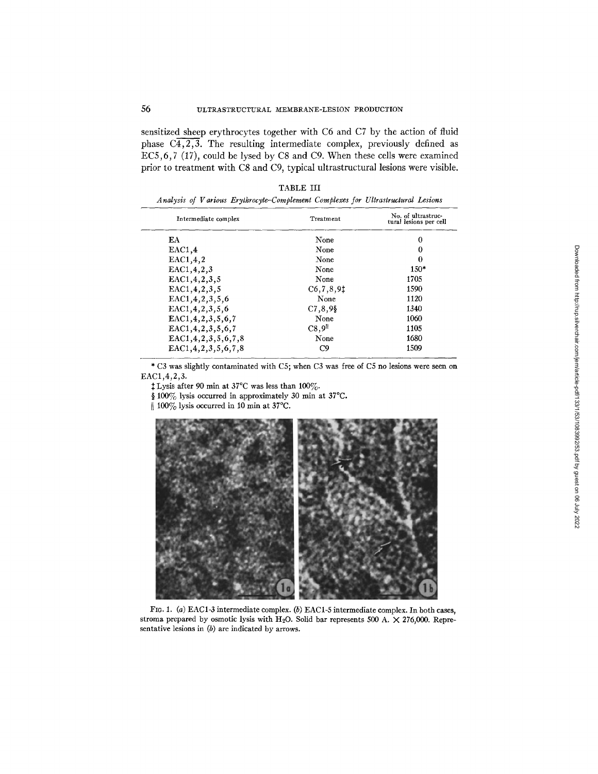sensitized sheep erythrocytes together with C6 and C7 by the action of fluid phase  $\overline{C4,2,3}$ . The resulting intermediate complex, previously defined as EC5,6, 7 (17), could be lysed by C8 and C9. When these cells were examined prior to treatment with C8 and C9, typical ultrastructura] lesions were visible.

| Intermediate complex      | Treatment          | No. of ultrastruc-<br>tural lesions per cell |  |
|---------------------------|--------------------|----------------------------------------------|--|
| EA                        | None               | 0                                            |  |
| EAC1,4                    | None               | 0                                            |  |
| EAC1,4,2                  | None               | 0                                            |  |
| EAC1, 4, 2, 3             | None               | $150*$                                       |  |
| EAC1, 4, 2, 3, 5          | None               | 1705                                         |  |
| EAC1, 4, 2, 3, 5          | C6, 7, 8, 91       | 1590                                         |  |
| EAC1, 4, 2, 3, 5, 6       | None               | 1120                                         |  |
| EAC1, 4, 2, 3, 5, 6       | $C7, 8, 9$ §       | 1340                                         |  |
| EAC1, 4, 2, 3, 5, 6, 7    | None               | 1060                                         |  |
| EAC1, 4, 2, 3, 5, 6, 7    | C8.9 <sup>11</sup> | 1105                                         |  |
| EAC1, 4, 2, 3, 5, 6, 7, 8 | None               | 1680                                         |  |
| EAC1.4.2.3.5.6.7.8        | C9                 | 1509                                         |  |

TABLE III

\* C3 was slightly contaminated with C5; when C3 was free of C5 no lesions were seen on EAC1,4,2,3.

 $\ddagger$  Lysis after 90 min at 37°C was less than 100%.

§ 100% lysis occurred in approximately 30 min at 37°C.

|| 100% lysis occurred in 10 min at 37°C.



FIG. 1. (a) EAC1-3 intermediate complex. (b) EAC1-5 intermediate complex. In both cases, stroma prepared by osmotic lysis with H<sub>2</sub>O. Solid bar represents 500 A.  $\times$  276,000. Representative lesions in (b) are indicated by arrows.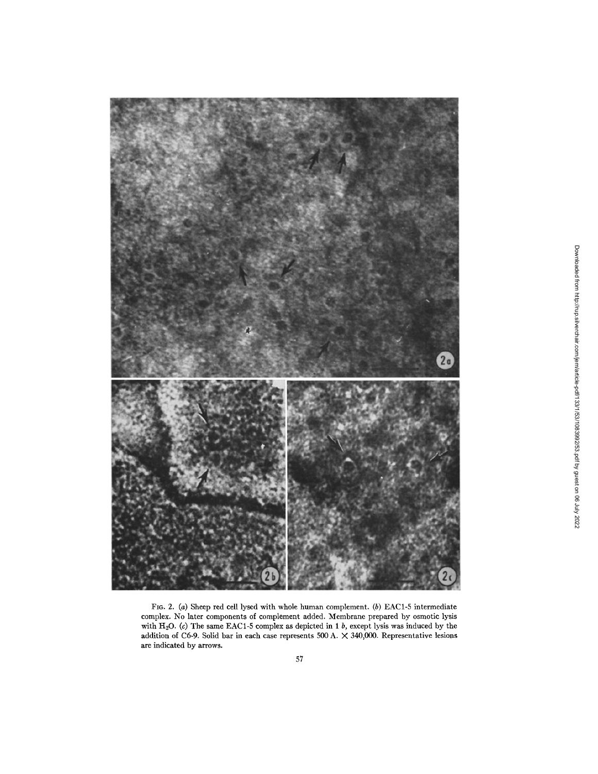

FIG. 2. (a) Sheep red cell lysed with whole human complement. (b) EAC1-5 intermediate complex. No later components of complement added. Membrane prepared by osmotic lysis with H<sub>2</sub>O. (c) The same EAC1-5 complex as depicted in 1 *b*, except lysis was induced by the addition of C6-9. Solid bar in each case represents 500 A. X 340,000. Representative lesions are indicated by arrows.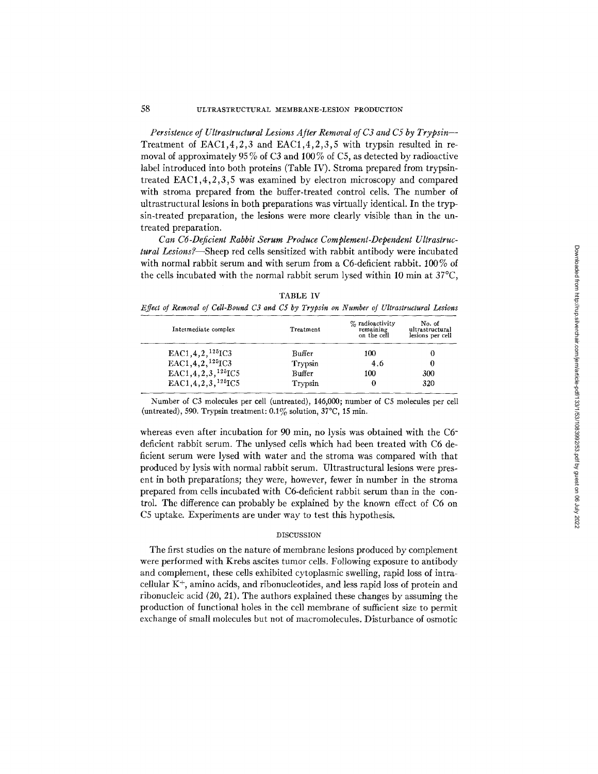*Persistence of Ultrastructural Lesions After Removal of C3 and C5 by Trypsin--*  Treatment of EAC1,4,2,3 and EAC1,4,2,3,5 with trypsin resulted in removal of approximately 95 % of C3 and 100 % of C5, as detected by radioactive label introduced into both proteins (Table IV). Stroma prepared from trypsintreated EAC1,4,2,3,5 was examined by electron microscopy and compared with stroma prepared from the buffer-treated control cells. The number of ultrastructmal lesions in both preparations was virtually identical. In the trypsin-treated preparation, the lesions were more clearly visible than in the untreated preparation.

*Can C6-Deficient Rabbit Serum Produce Complement-Dependent Ultrastrucrural Lesions?--Sheep* red cells sensitized with rabbit antibody were incubated with normal rabbit serum and with serum from a C6-deficient rabbit. 100% of the cells incubated with the normal rabbit serum lysed within 10 min at  $37^{\circ}$ C,

| Intermediate complex                | Treatment | $\%$ radioactivity<br>remaining<br>on the cell | No. of<br>ultrastructural<br>lesions per cell |
|-------------------------------------|-----------|------------------------------------------------|-----------------------------------------------|
| $EAC1, 4, 2, 125$ <sub>IC3</sub>    | Buffer    | 100                                            |                                               |
| EAC1, 4, 2, $125$ IC3               | Trypsin   | 4.6                                            | 0                                             |
| $EAC1, 4, 2, 3, 125$ <sub>IC5</sub> | Buffer    | 100                                            | 300                                           |
| EAC1, 4, 2, 3, $12^{5}IC5$          | Trypsin   | 0                                              | 320                                           |
|                                     |           |                                                |                                               |

TABLE IV *Effect of Removal of Cell-Bound C3 and C5 by Trypsin on Number of Ultrastructural Lesions* 

Number of C3 molecules per cell (untreated), 146,000; number of C5 molecules per cell (untreated), 590. Trypsin treatment:  $0.1\%$  solution,  $37^{\circ}$ C, 15 min.

whereas even after incubation for 90 min, no lysis was obtained with the C6deficient rabbit serum. The unlysed ceils which had been treated with C6 deficient serum were lysed with water and the stroma was compared with that produced by lysis with normal rabbit serum. Ultrastructural lesions were present in both preparations; they were, however, fewer in number in the stroma prepared from cells incubated with C6-deficient rabbit serum than in the control. The difference can probably be explained by the known effect of C6 on C5 uptake. Experiments are under way to test this hypothesis.

### DISCUSSION

The first studies on the nature of membrane lesions produced by complement were performed with Krebs ascites tumor cells. Following exposure to antibody and complement, these cells exhibited cytoplasmic swelling, rapid loss of intracellular  $K^+$ , amino acids, and ribonucleotides, and less rapid loss of protein and ribonucleic acid (20, 21). The authors explained these changes by assuming the production of functional holes in the cell *membrane* of sufficient size to permit exchange of small molecules but not of macromolecules. Disturbance of osmotic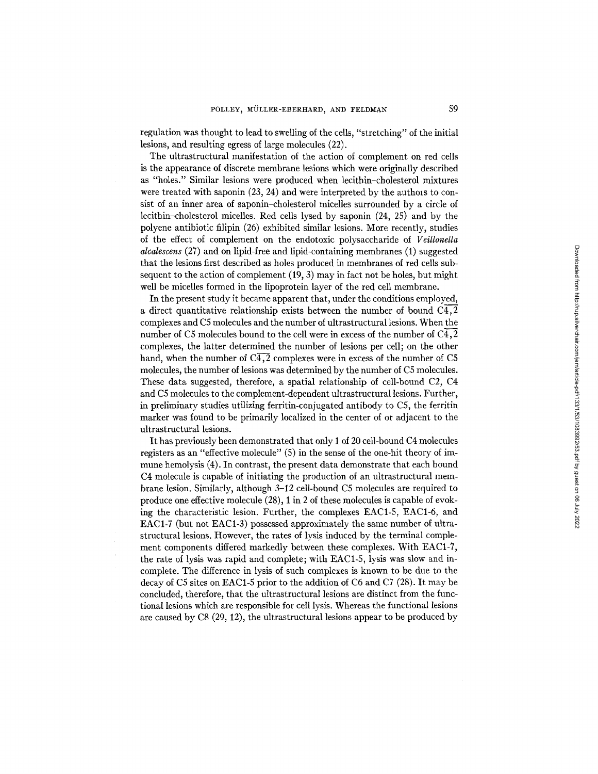regulation was thought to lead to swelling of the cells, "stretching" of the initial lesions, and resulting egress of large molecules (22).

The ultrastructural manifestation of the action of complement on red cells is the appearance of discrete membrane lesions which were originally described as "holes." Similar lesions were produced when lecithin-cholesterol mixtures were treated with saponin  $(23, 24)$  and were interpreted by the authors to consist of an inner area of saponin-cholesterol micelles surrounded by a circle of lecithin-cholesterol micelles. Red cells lysed by saponin (24, 25) and by the polyene antibiotic filipin (26) exhibited similar lesions. More recently, studies of the effect of complement on the endotoxic polysaccharide of *Veillonella alcalescens* (27) and on lipid-free and lipid-containing membranes (1) suggested that the lesions first described as holes produced in membranes of red ceils subsequent to the action of complement (19, 3) may in fact not be holes, but might well be micelles formed in the lipoprotein layer of the red cell membrane.

In the present study it became apparent that, under the conditions employed, a direct quantitative relationship exists between the number of bound C4,2 complexes and C5 molecules and the number of ultrastructural lesions. When the number of C5 molecules bound to the cell were in excess of the number of  $C\bar{4}$ , 2 complexes, the latter determined the number of lesions per ceil; on the other hand, when the number of  $C\overline{4,2}$  complexes were in excess of the number of C5 molecules, the number of lesions was determined by the number of C5 molecules. These data suggested, therefore, a spatial relationship of cell-bound C2, C4 and C5 molecules to the complement-dependent ultrastructural lesions. Further, in preliminary studies utilizing ferritin-conjugated antibody to C5, the ferritin marker was found to be primarily localized in the center of or adjacent to the ultrastructural lesions.

It has previously been demonstrated that only I of 20 cell-bound C4 molecules registers as an "effective molecule" (5) in the sense of the one-hit theory of immune hemolysis (4). In contrast, the present data demonstrate that each bound C4 molecule is capable of initiating the production of an ultrastructural membrane lesion. Similarly, although 3-12 cell-bound C5 molecules are required to produce one effective molecule (28), 1 in 2 of these molecules is capable of evoking the characteristic lesion. Further, the complexes EAC1-5, EAC1-6, and EAC1-7 (but not EAC1-3) possessed approximately the same number of ultrastructural lesions. However, the rates of lysis induced by the terminal complement components differed markedly between these complexes. With EAC1-7, the rate of lysis was rapid and complete; with EAC1-5, lysis was slow and incomplete. The difference in lysis of such complexes is known to be due to the decay of C5 sites on EAC1-5 prior to the addition of C6 and C7 (28). It may be concluded, therefore, that the ultrastructural lesions are distinct from the functional lesions which are responsible for cell lysis. Whereas the functional lesions are caused by C8 (29, 12), the ultrastructural lesions appear to be produced by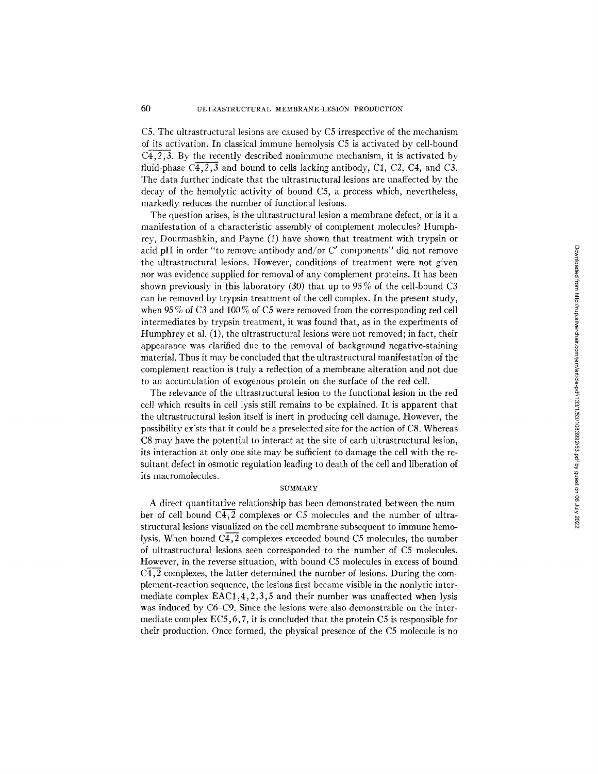C5. The ultrastructural lesions are caused by C5 irrespective of the mechanism of its activation. In classical immune hemolysis C5 is activated by cell-bound  $\overline{C4,2,3}$ . By the recently described nonimmune mechanism, it is activated by fluid-phase  $\overline{C4,2,3}$  and bound to cells lacking antibody, C1, C2, C4, and C3. The data further indicate that the ultrastructural lesions are unaffected by the decay of the hemolytic activity of bound C5, a process which, nevertheless, markedly reduces the number of functional lesions.

The question arises, is the ultrastructural lesion a membrane defect, or is it a manifestation of a characteristic assembly of complement molecules? Humphrey, Dourmashkin, and Payne (1) have shown that treatment with trypsin or acid pH in order "to remove antibody and/or C' components" did not remove the ultrastructural lesions. However, conditions of treatment were not given nor was evidence supplied for removal of any complement proteins. It has been shown previously in this laboratory  $(30)$  that up to  $95\%$  of the cell-bound C3 can be removed by trypsin treatment of the cell complex. In the present study, when 95% of C3 and 100% of C5 were removed from the corresponding red cell intermediates by trypsin treatment, it was found that, as in the experiments of Humphrey et al.  $(1)$ , the ultrastructural lesions were not removed; in fact, their appearance was clarified due to the removal of background negative-staining material. Thus it may be concluded that the ultrastructural manifestation of the complement reaction is truly a reflection of a membrane alteration and not due to an accumulation of exogenous protein on the surface of the red cell.

The relevance of the ultrastructural lesion to the functional lesion in the red cell which results in cell lysis still remains to be explained. It is apparent that the ultrastructural lesion itself is inert in producing cell damage. However, the possibility ex'sts that it could be a preselected site for the action of C8. Whereas C8 may have the potential to interact at the site of each ultrastructural lesion, its interaction at only one site may be sufficient to damage the cell with the resultant defect in osmotic regulation leading to death of the cell and liberation of its macromolecules.

### **SUMMARY**

A direct quantitative relationship has been demonstrated between the num ber of cell bound  $C\overline{4,2}$  complexes or C5 molecules and the number of ultrastructural lesions visualized on the cell membrane subsequent to immune hemolysis. When bound  $\overline{C4,2}$  complexes exceeded bound C5 molecules, the number of ultrastructural lesions seen corresponded to the number of C5 molecules. However, in the reverse situation, with bound C5 molecules in excess of bound  $C<sub>4</sub>,<sub>2</sub>$  complexes, the latter determined the number of lesions. During the complement-reaction sequence, the lesions first became visible in the nonlytic intermediate complex EAC1,4,2,3,5 and their number was unaffected when lysis was induced by C6-C9. Since the lesions were also demonstrable on the intermediate complex ECS, 6,7, it is concluded that the protein C5 is responsible for their production. Once formed, the physical presence of the C5 molecule is no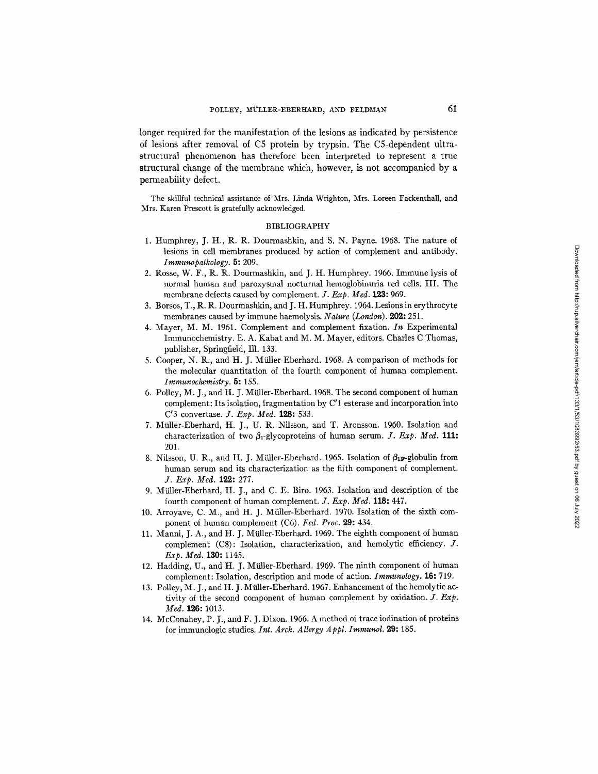longer required for the manifestation of the lesions as indicated by persistence of lesigns after removal of C5 protein by trypsin. The C5-dependent ultrastructural phenomenon has therefore been interpreted to represent a true structural change of the membrane which, however, is not accompanied by a permeability defect.

The skillful technical assistance of Mrs. Linda Wrighton, Mrs. Loreen Fackenthall, and Mrs. Karen Prescott is gratefully acknowledged.

### BIBLIOGRAPHY

- 1. Humphrey, J. H., R. R. Dourmashkin, and S. N. Payne. 1968. The nature of lesions in cell membranes produced by action of complement and antibody. *Immunopathology.* 5: 209.
- 2. Rosse, W. F., R. R. Dourmashkin, and J. H. Humphrey. 1966. Immune lysis of normal human and paroxysmal nocturnal hemoglobinuria red cells. III. The membrane defects caused by complement. *J. Exp. Med.* 123: 969.
- 3. Borsos, T., R. R. Dourmashkin, and J. H. Humphrey. 1964. Lesions in erythrocyte membranes caused by immune haemolysis. *Nature (London).* 202: 251.
- 4. Mayer, M. M. 1961. Complement and complement fixation. *In* Experimental *Immunochemistry.* E. A. Kabat and M. M. Mayer, editors. Charles C Thomas, publisher, Springfield, Ill. 133.
- 5. Cooper, N. R., and H. J. Müller-Eberhard. 1968. A comparison of methods for the molecular quantitation of the fourth component of human complement. *Immunochemistry.* 5: 155.
- 6. Polley, M. J., and H. J. Miiller-Eberhard. 1968. The second component of human complement: Its isolation, fragmentation by C'1 esterase and incorporation into C'3 convertase. *J. Exp. Med.* **128:** 533.
- 7. Miiller-Eberhard, H. J., U. R. Nilsson, and T. Aronsson. 1960. Isolation and characterization of two  $\beta_1$ -glycoproteins of human serum. *J. Exp. Med.* **111:** 201.
- 8. Nilsson, U. R., and H. J. Müller-Eberhard. 1965. Isolation of  $\beta_{1F}$ -globulin from human serum and its characterization as the fifth component of complement. *J. Exp. Med.* 122: 277.
- 9. Miiller-Eberhard, H. J., and C. E. Biro. 1963. Isolation and description of the fourth component of human complement. *J. Exp. Med.* 118: 447.
- 10. Arroyave, C. M., and H. J. Müller-Eberhard. 1970. Isolation of the sixth component of human complement (C6). *Fed. Proc.* 29: 434.
- 11. Manni, J. A., and H. J. Miiller-Eberhard. 1969. The eighth component of human complement  $(C8)$ : Isolation, characterization, and hemolytic efficiency. J. *Exp. Med.* 130: 1145.
- 12. Hadding, U., and H. J. Miiller-Eberhard. 1969. The ninth component of human complement: Isolation, description and mode of action. *Immunology.* 16: 719.
- 13. Polley, M. J., and H. J. Müller-Eberhard. 1967. Enhancement of the hemolytic activity of the second component of human complement by oxidation. *J. Exp. Med.* 126: 1013.
- 14. McConahey, P. J., and F. J. Dixon. 1966. A method of trace iodination of proteins for immunologic studies. *Int. Arch. Allergy A ppl. Immunol.* 29: 185.